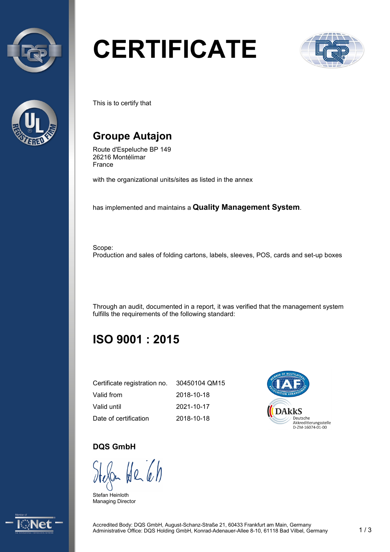



# **CERTIFICATE**



This is to certify that

# **Groupe Autajon**

Route d'Espeluche BP 149 26216 Montélimar France

with the organizational units/sites as listed in the annex

has implemented and maintains a **Quality Management System**.

Scope: Production and sales of folding cartons, labels, sleeves, POS, cards and set-up boxes

Through an audit, documented in a report, it was verified that the management system fulfills the requirements of the following standard:

# **ISO 9001 : 2015**

| Certificate registration no. | 30450104 QM15 |
|------------------------------|---------------|
| Valid from                   | 2018-10-18    |
| Valid until                  | 2021-10-17    |
| Date of certification        | 2018-10-18    |



#### **DQS GmbH**

 $H_{26}$ 

Stefan Heinloth Managing Director

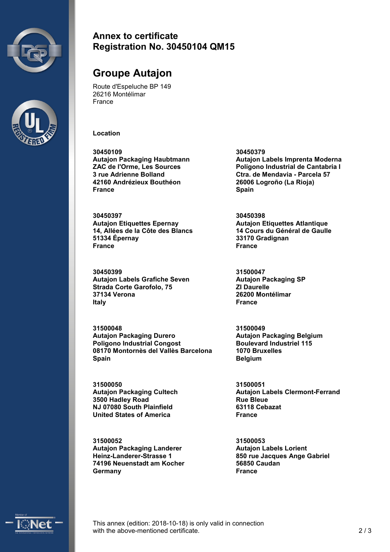



#### **Annex to certificate Registration No. 30450104 QM15**

## **Groupe Autajon**

Route d'Espeluche BP 149 26216 Montélimar France

**Location**

**30450109 Autajon Packaging Haubtmann ZAC de l'Orme, Les Sources 3 rue Adrienne Bolland 42160 Andrézieux Bouthéon France**

**30450397 Autajon Etiquettes Epernay 14, Allées de la Côte des Blancs 51334 Épernay France**

**30450399 Autajon Labels Grafiche Seven Strada Corte Garofolo, 75 37134 Verona Italy**

**31500048 Autajon Packaging Durero Poligono Industrial Congost 08170 Montornès del Vallès Barcelona Spain**

**31500050 Autajon Packaging Cultech 3500 Hadley Road NJ 07080 South Plainfield United States of America**

**31500052 Autajon Packaging Landerer Heinz-Landerer-Strasse 1 74196 Neuenstadt am Kocher Germany**

**30450379 Autajon Labels Imprenta Moderna Polígono Industrial de Cantabria I Ctra. de Mendavia - Parcela 57 26006 Logroño (La Rioja) Spain**

**30450398 Autajon Etiquettes Atlantique 14 Cours du Général de Gaulle 33170 Gradignan France**

**31500047 Autajon Packaging SP ZI Daurelle 26200 Montélimar France**

**31500049 Autajon Packaging Belgium Boulevard Industriel 115 1070 Bruxelles Belgium**

**31500051 Autajon Labels Clermont-Ferrand Rue Bleue 63118 Cebazat France**

**31500053 Autajon Labels Lorient 850 rue Jacques Ange Gabriel 56850 Caudan France**



This annex (edition: 2018-10-18) is only valid in connection with the above-mentioned certificate. 2 / 3